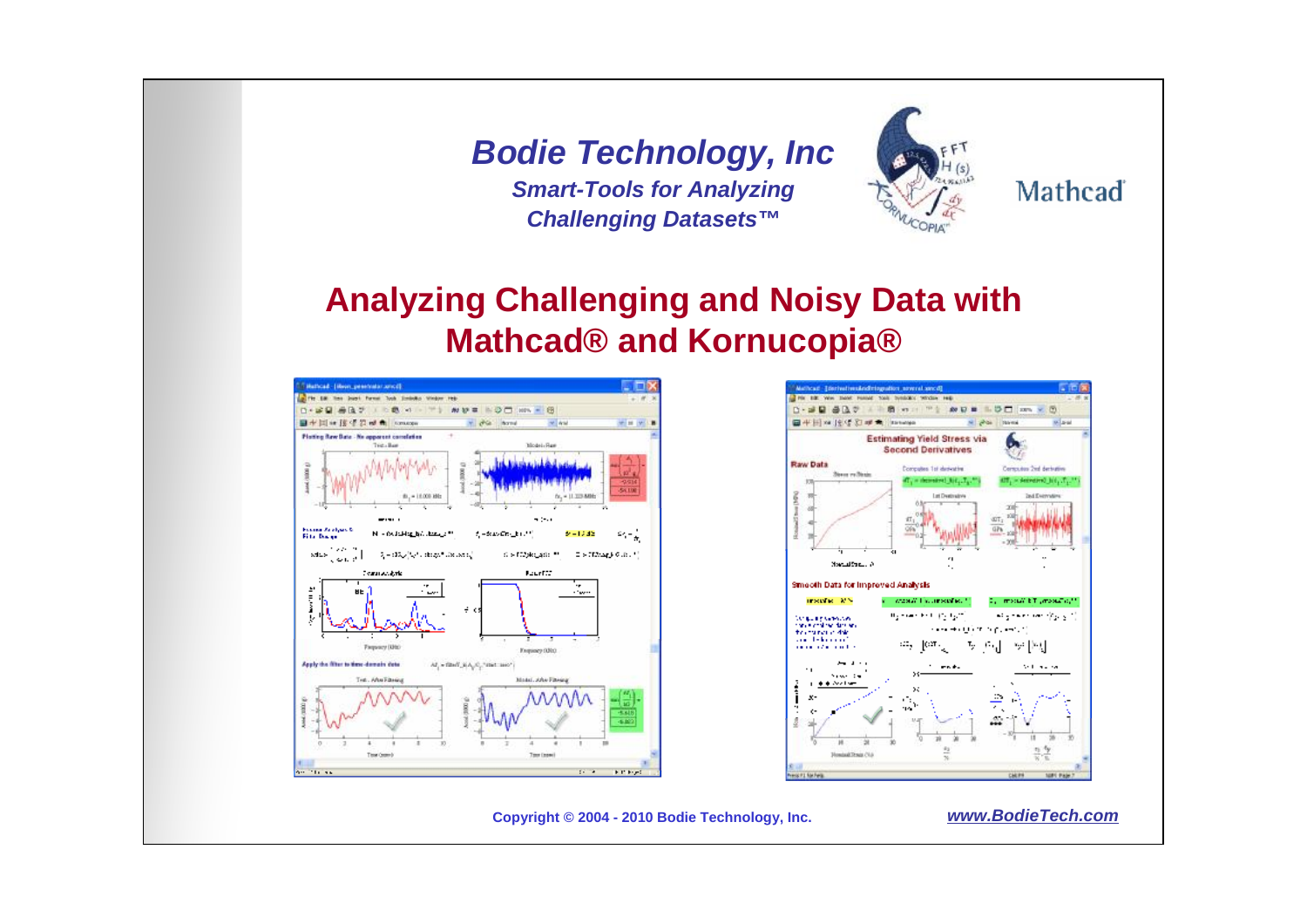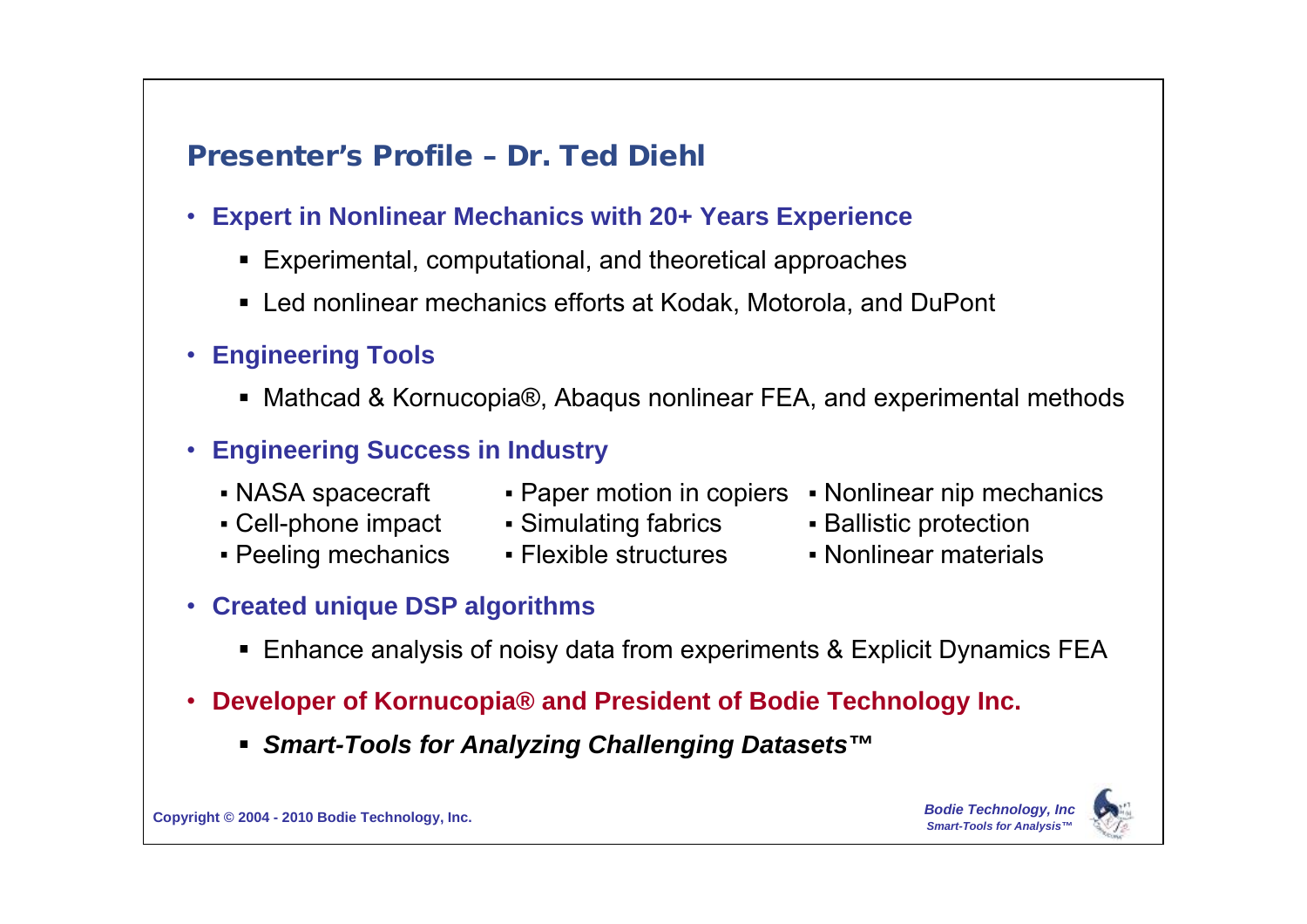## **Presenter's Profile – Dr. Ted Diehl**

- **Expert in Nonlinear Mechanics with 20+ Years Experience**
	- Experimental, computational, and theoretical approaches
	- Led nonlinear mechanics efforts at Kodak, Motorola, and DuPont
- **Engineering Tools**
	- Mathcad & Kornucopia®, Abagus nonlinear FEA, and experimental methods
- **Engineering Success in Industry**
	-
	-
	-
- 
- Cell-phone impact Simulating fabrics Ballistic protection
- Peeling mechanics Flexible structures Nonlinear materials
- NASA spacecraft Paper motion in copiers Nonlinear nip mechanics
	-
	-

- **Created unique DSP algorithms**
	- Enhance analysis of noisy data from experiments & Explicit Dynamics FEA
- **Developer of Kornucopia® and President of Bodie Technology Inc.**
	- *Smart-Tools for Analyzing Challenging Datasets™*



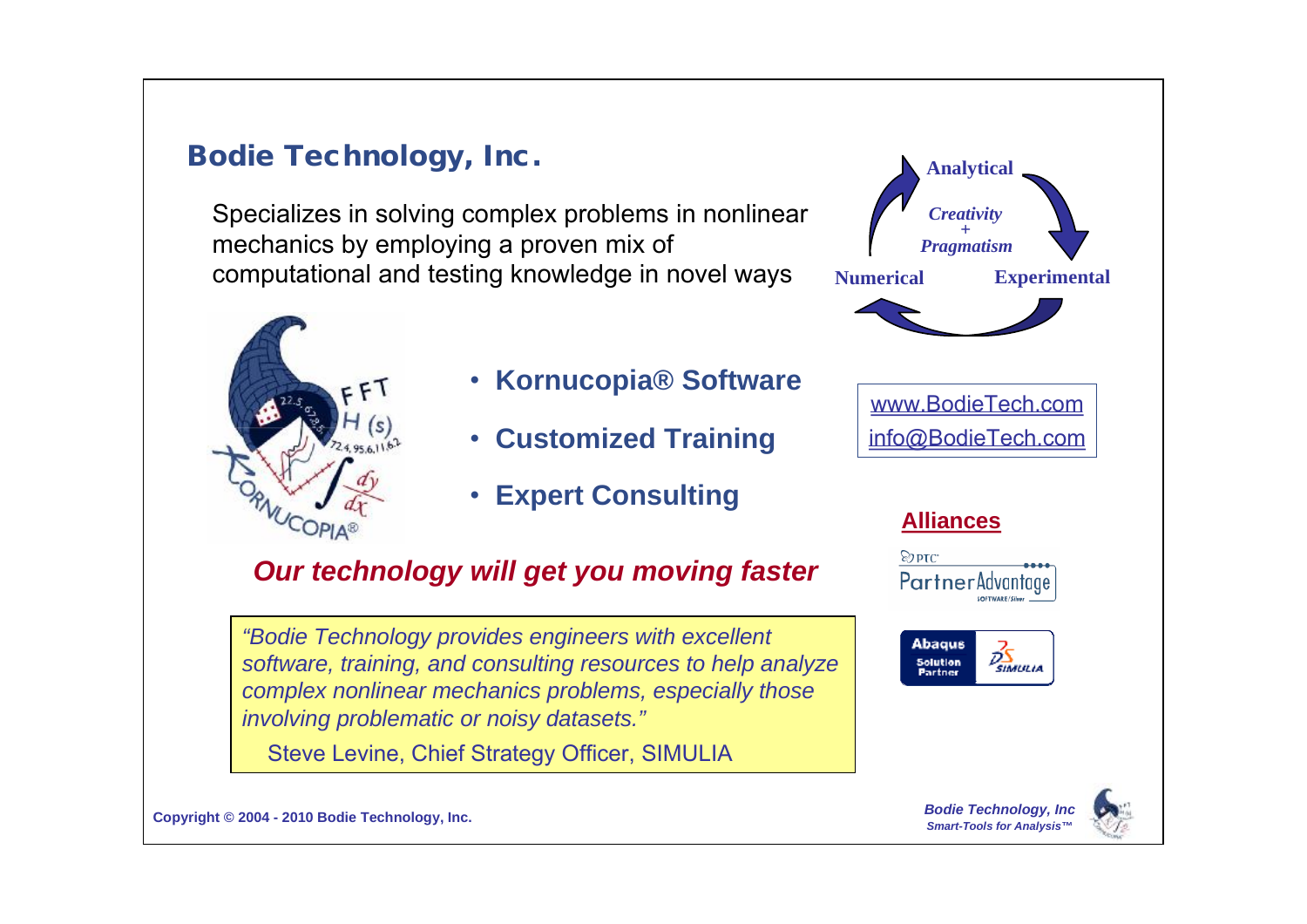#### **Bodie Technology, Inc.**

Specializes in solving complex problems in nonlinear mechanics by employing a proven mix of computational and testing knowledge in novel ways



- **Kornucopia® Software**
- **Customized Training**
- **Expert Consulting**

## *Our technology will get you moving faster*

*"Bodie Technology provides engineers with excellent software, training, and consulting resources to help analyze complex nonlinear mechanics problems, especially those involving problematic or noisy datasets."*

Steve Levine, Chief Strategy Officer, SIMULIA

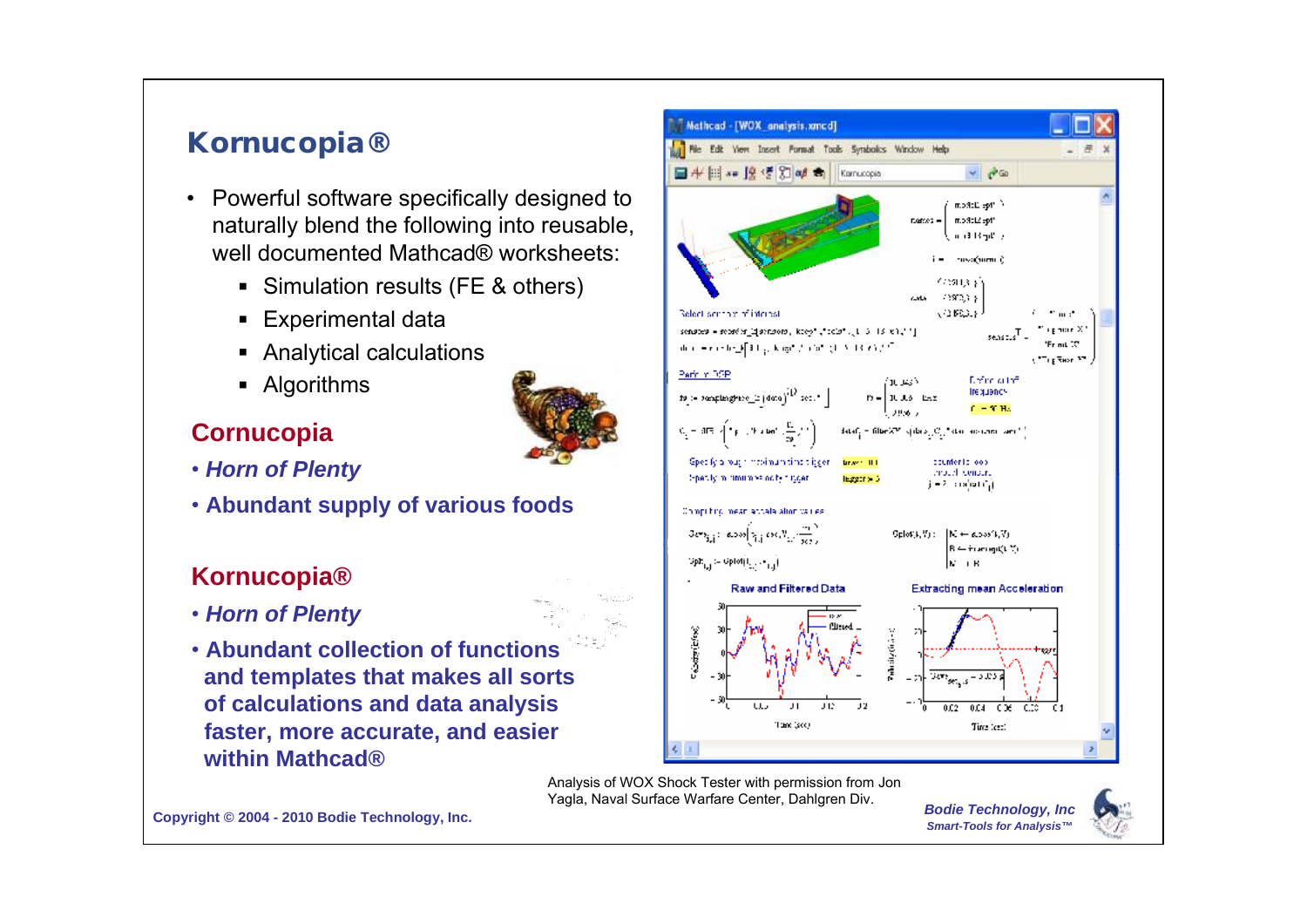## **Kornucopia®**

- Powerful software specifically designed to naturally blend the following into reusable, well documented Mathcad® worksheets:
	- Simulation results (FE & others)
	- **Experimental data**
	- Analytical calculations
	- Algorithms

#### **Cornucopia**

- *Horn of Plenty*
- **Abundant supply of various foods**

#### **Kornucopia®**

- *Horn of Plenty*
- **Abundant collection of functions and templates that makes all sorts of calculations and data analysis faster, more accurate, and easier within Mathcad®**



Analysis of WOX Shock Tester with permission from Jon Yagla, Naval Surface Warfare Center, Dahlgren Div.

*Bodie Technology, Inc Smart-Tools for Analysis™*

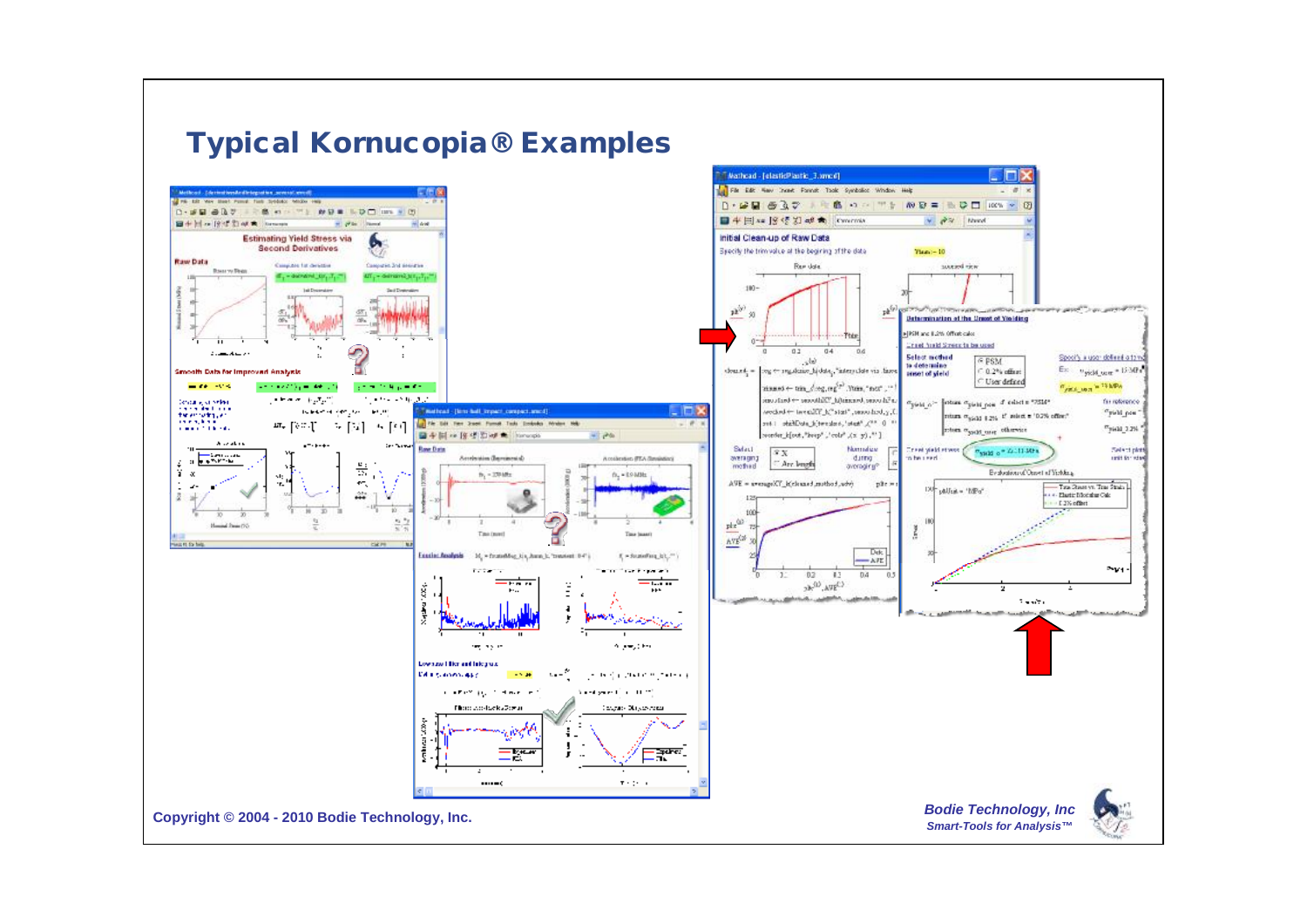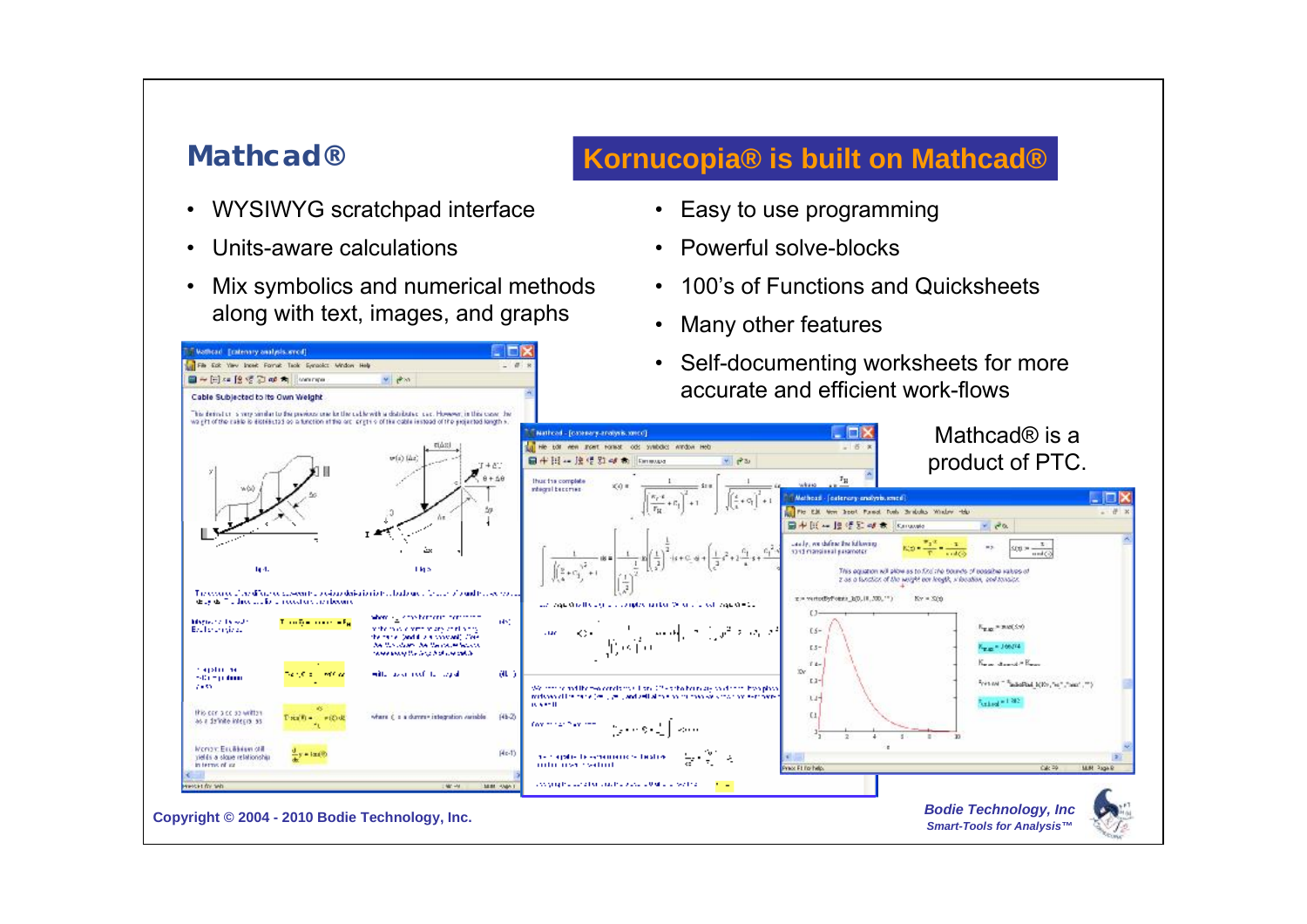#### **Mathcad®**

Wathcad Ecatenary analysis.oried) The Eat Yev Inset Fornit Teck Synacles Mindow Help

■~日×19 ff 2 md 角 However

Cable Subjected to its Own Weight

- WYSIWYG scratchpad interface
- Units-aware calculations
- Mix symbolics and numerical methods along with text, images, and graphs

 $v = \frac{1}{2}$ 

 $\sim a$ 

#### **Kornucopia® is built on Mathcad®**

- Easy to use programming
- Powerful solve-blocks
- 100's of Functions and Quicksheets
- Many other features
- Self-documenting worksheets for more accurate and efficient work-flows

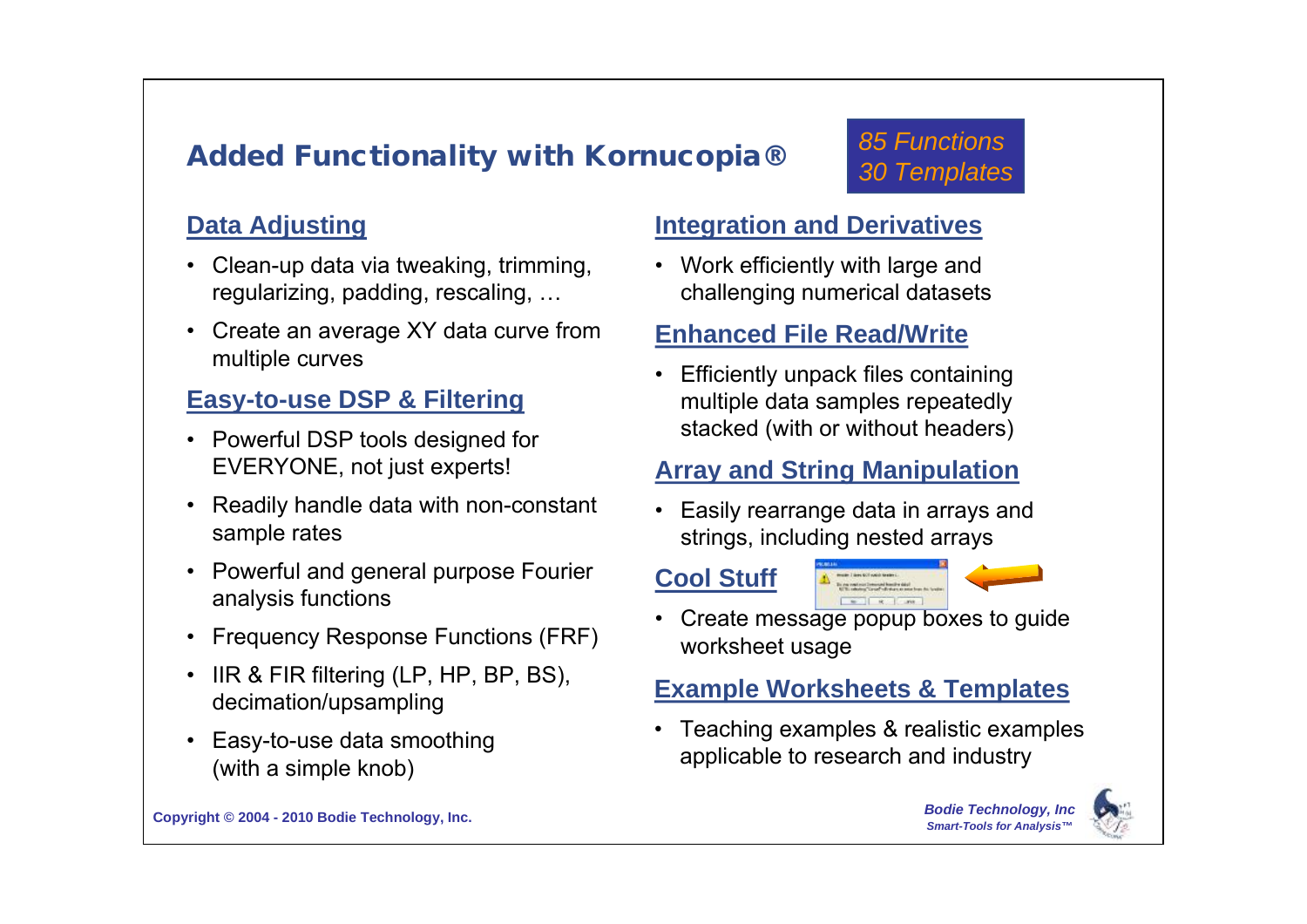## **Added Functionality with Kornucopia®**

#### **Data Adjusting**

- Clean-up data via tweaking, trimming, regularizing, padding, rescaling, ...
- Create an average XY data curve from multiple curves

#### **Easy-to-use DSP & Filtering**

- Powerful DSP tools designed for EVERYONE, not just experts!
- Readily handle data with non-constant sample rates
- Powerful and general purpose Fourier analysis functions
- Frequency Response Functions (FRF)
- $\cdot$  IIR & FIR filtering (LP, HP, BP, BS), decimation/upsampling
- Easy-to-use data smoothing (with a simple knob)

#### **Integration and Derivatives**

 Work efficiently with large and challenging numerical datasets

#### **Enhanced File Read/Write**

 Efficiently unpack files containing multiple data samples repeatedly stacked (with or without headers)

#### **Array and String Manipulation**

- Easily rearrange data in arrays and strings, including nested arrays
- **Cool Stuff**



*85 Functions* 

*30 Templates*

 Create message popup boxes to guide worksheet usage

#### **Example Worksheets & Templates**

 Teaching examples & realistic examples applicable to research and industry

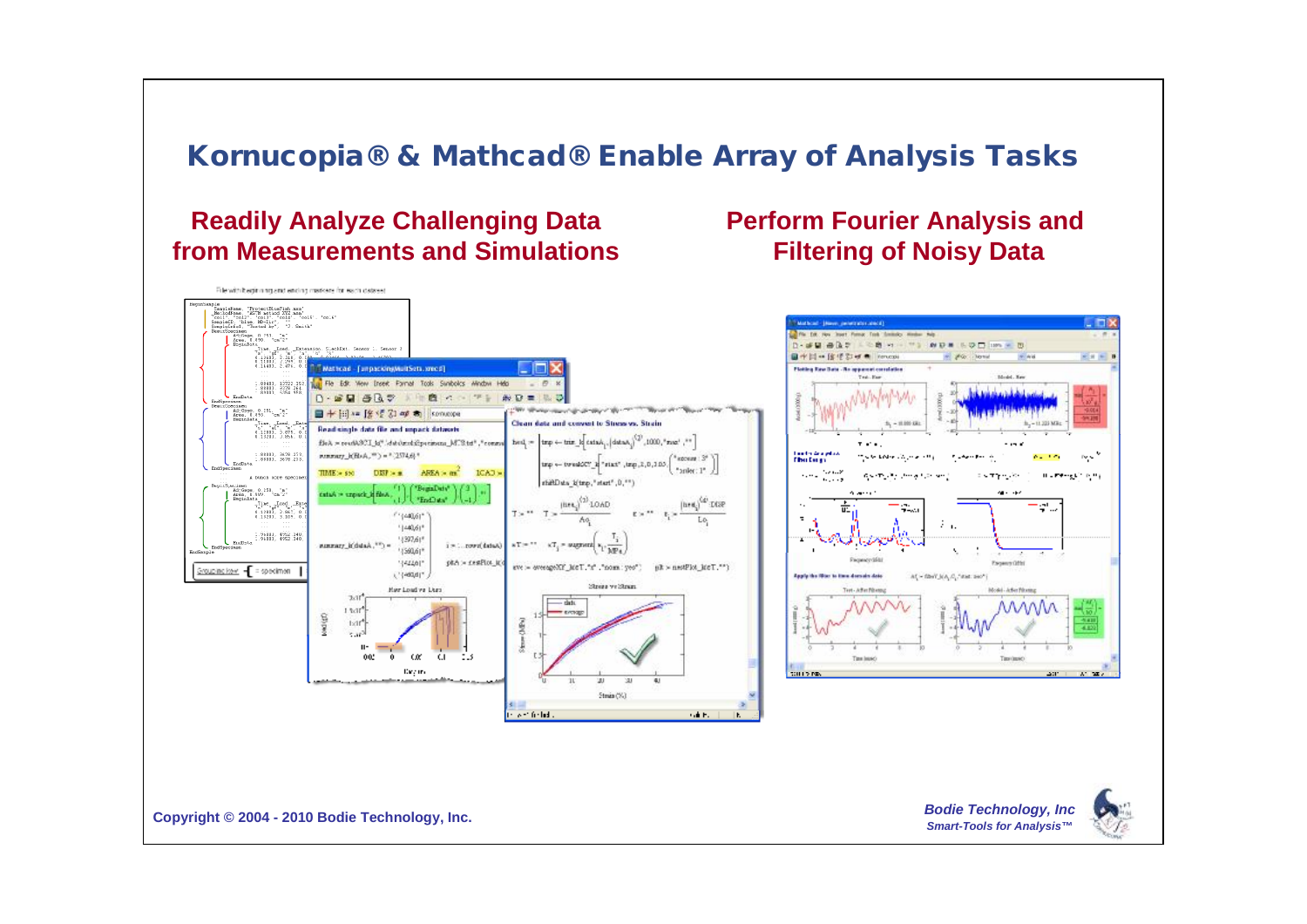### **Kornucopia® & Mathcad® Enable Array of Analysis Tasks**

#### **Readily Analyze Challenging Data from Measurements and Simulations**

#### **Perform Fourier Analysis and Filtering of Noisy Data**



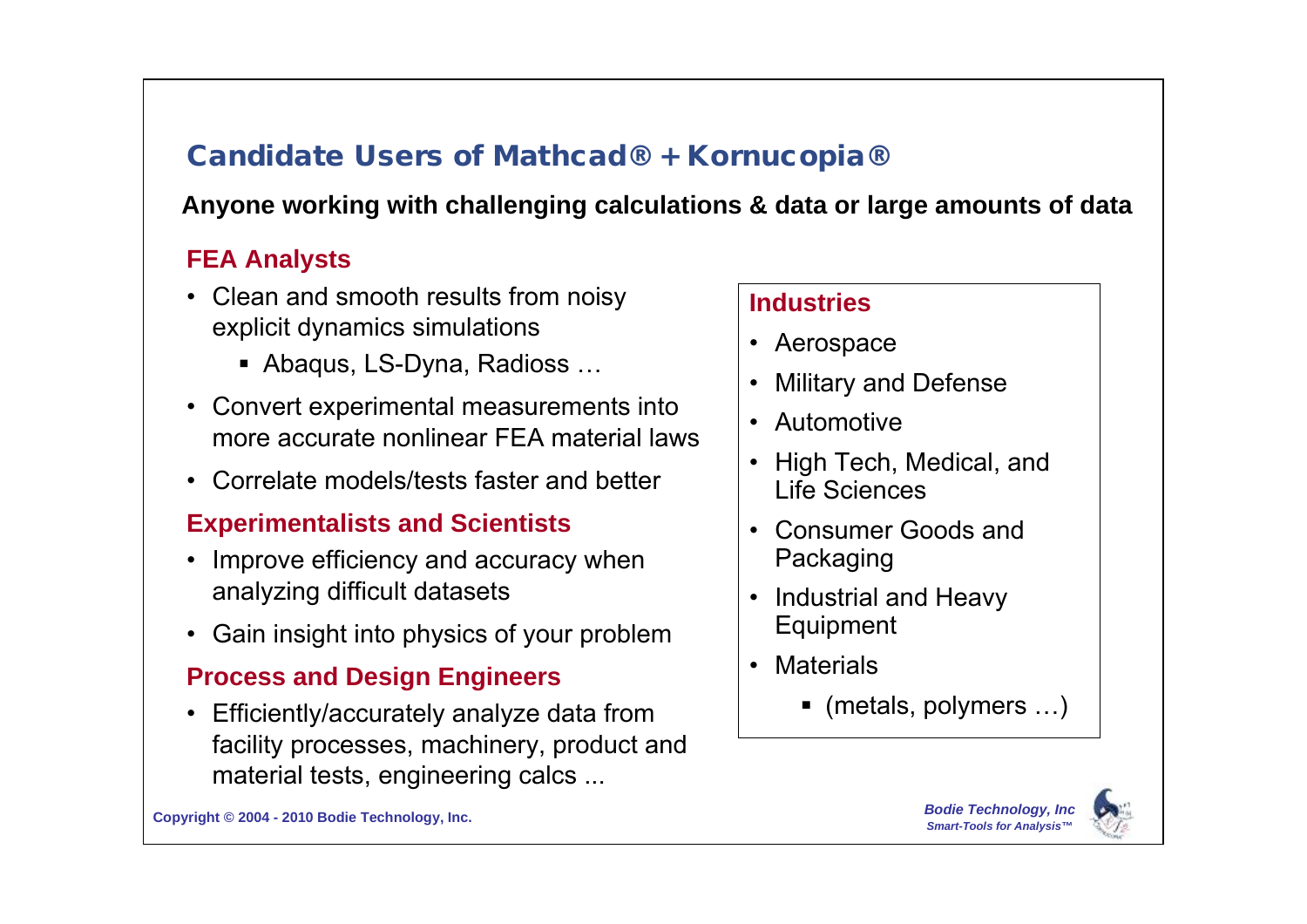## **Candidate Users of Mathcad® + Kornucopia®**

#### **Anyone working with challenging calculations & data or large amounts of data**

#### **FEA Analysts**

- Clean and smooth results from noisy explicit dynamics simulations
	- **Abaqus, LS-Dyna, Radioss...**
- Convert experimental measurements into more accurate nonlinear FEA material laws
- Correlate models/tests faster and better

#### **Experimentalists and Scientists**

- Improve efficiency and accuracy when analyzing difficult datasets
- Gain insight into physics of your problem

#### **Process and Design Engineers**

 Efficiently/accurately analyze data from facility processes, machinery, product and material tests, engineering calcs ...

#### **Industries**

- Aerospace
- Military and Defense
- Automotive
- High Tech, Medical, and Life Sciences
- Consumer Goods and Packaging
- Industrial and Heavy Equipment
- Materials
	- $\blacksquare$  (metals, polymers  $\ldots$ )



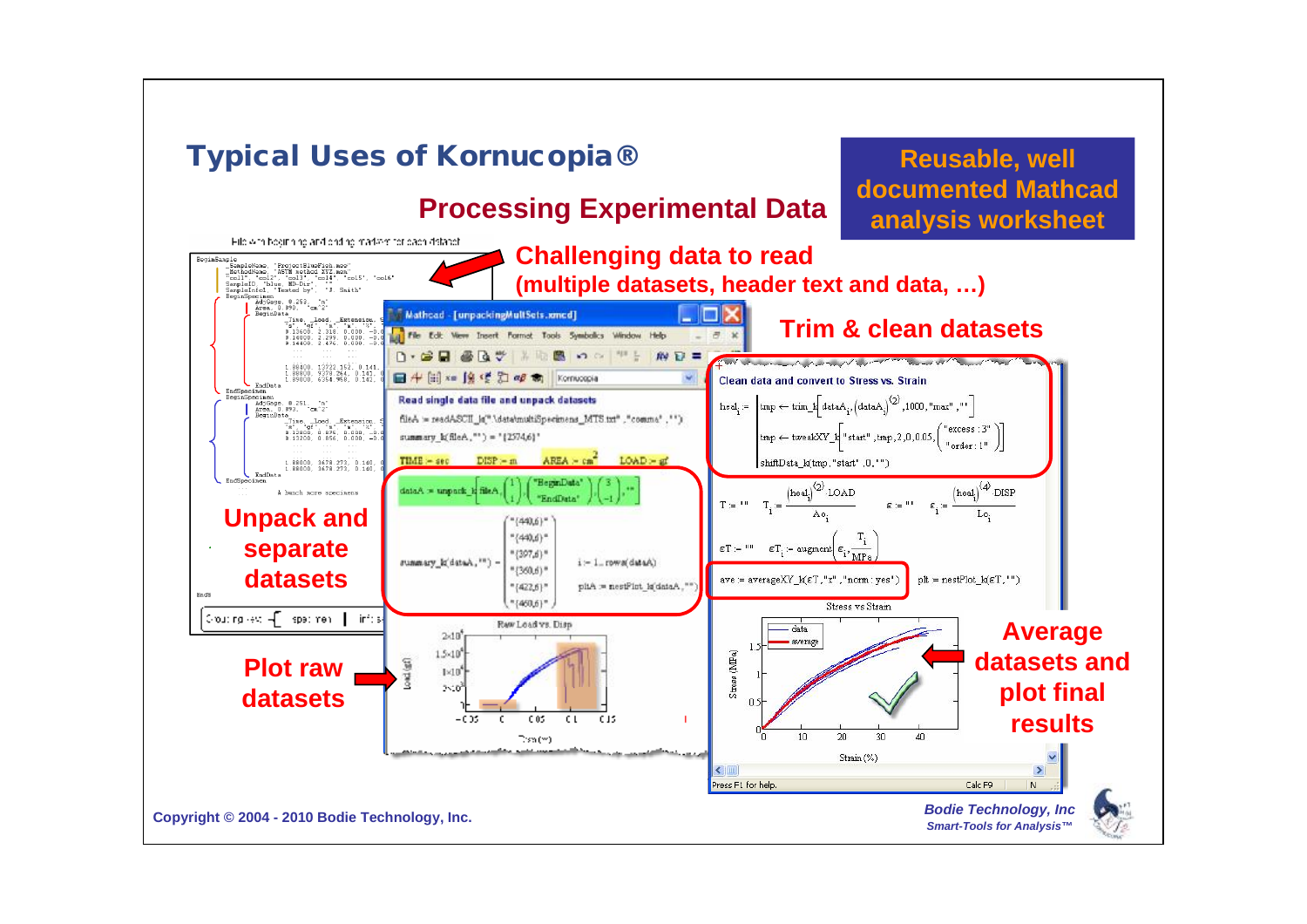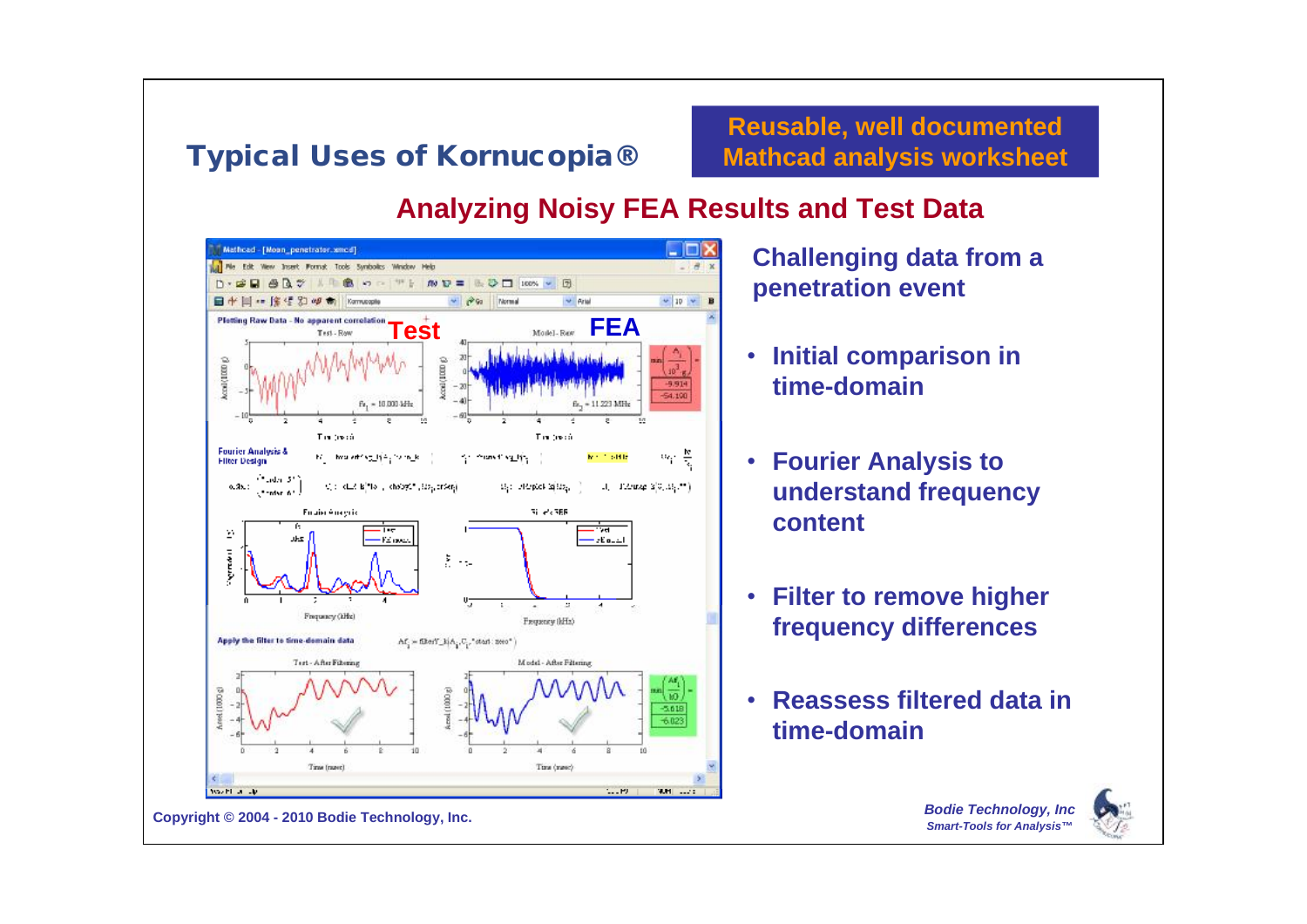## **Typical Uses of Kornucopia®**

**Reusable, well documented Mathcad analysis worksheet**

#### **Analyzing Noisy FEA Results and Test Data**



**Challenging data from a penetration event**

- **Initial comparison in time-domain**
- **Fourier Analysis to understand frequency content**
- **Filter to remove higher frequency differences**
- **Reassess filtered data in time-domain**

*Bodie Technology, Inc Smart-Tools for Analysis™*

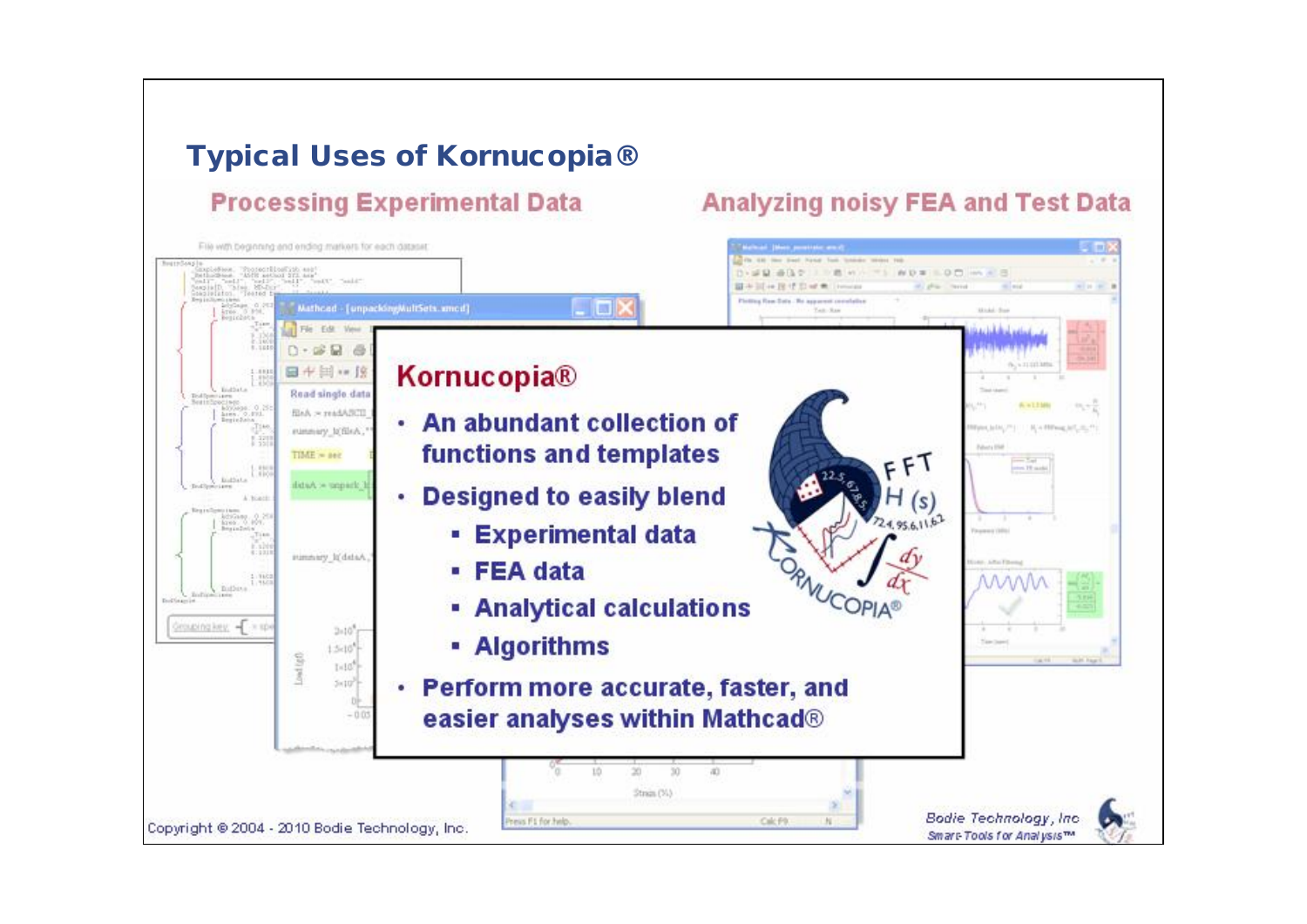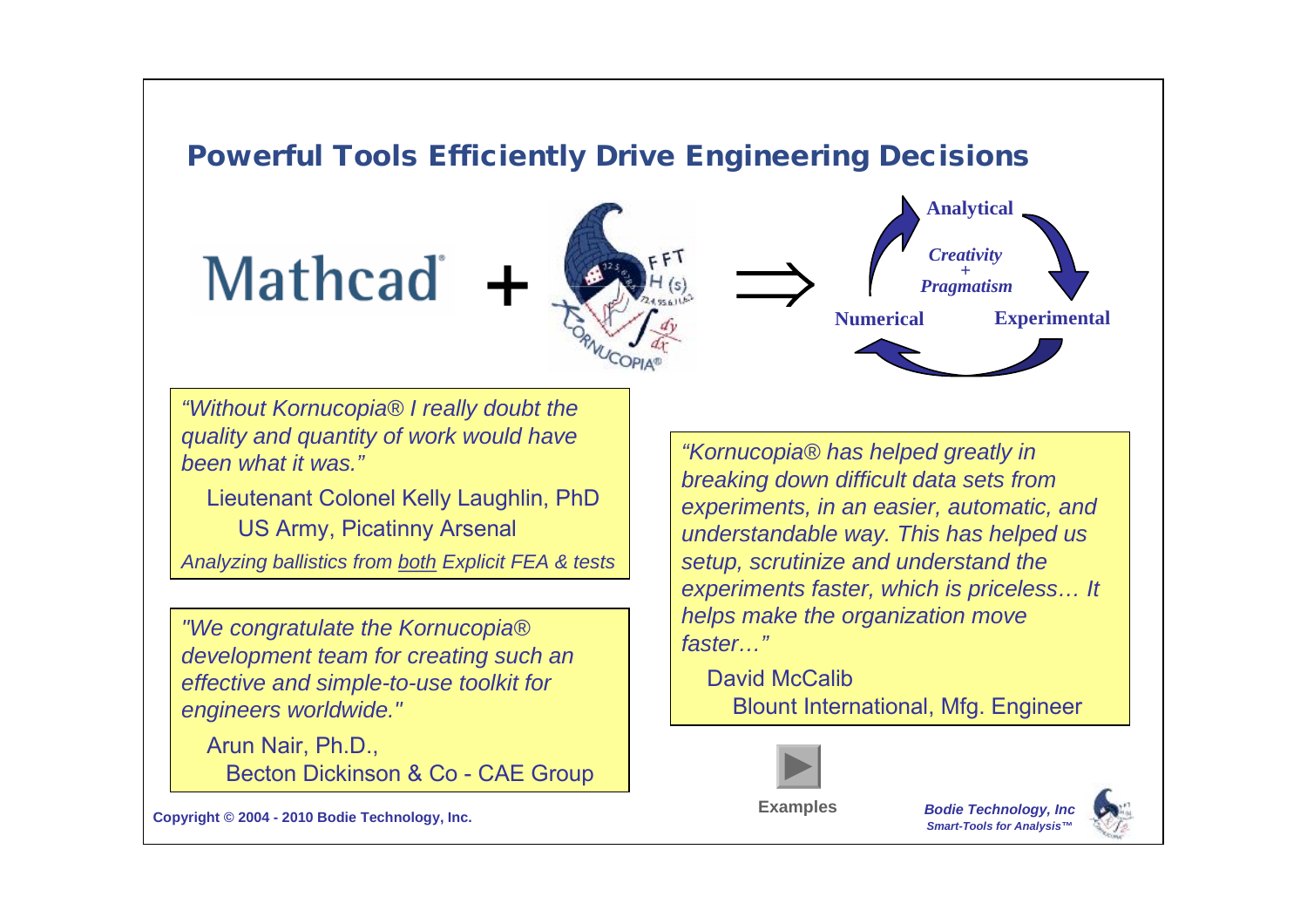## **Powerful Tools Efficiently Drive Engineering Decisions**

# **Mathcad**



**Analytical Numerical Experimental** *Creativity + Pragmatism*

*"Without Kornucopia® I really doubt the quality and quantity of work would have been what it was."*

Lieutenant Colonel Kelly Laughlin, PhD US Army, Picatinny Arsenal

*Analyzing ballistics from both Explicit FEA & tests*

*"We congratulate the Kornucopia® development team for creating such an effective and simple-to-use toolkit for engineers worldwide."*

Arun Nair, Ph.D., Becton Dickinson & Co - CAE Group

*"Kornucopia® has helped greatly in breaking down difficult data sets from experiments, in an easier, automatic, and understandable way. This has helped us setup, scrutinize and understand the experiments faster, which is priceless… It helps make the organization move faster…"*

David McCalib Blount International, Mfg. Engineer



**Examples**

*Bodie Technology, Inc Smart-Tools for Analysis™*

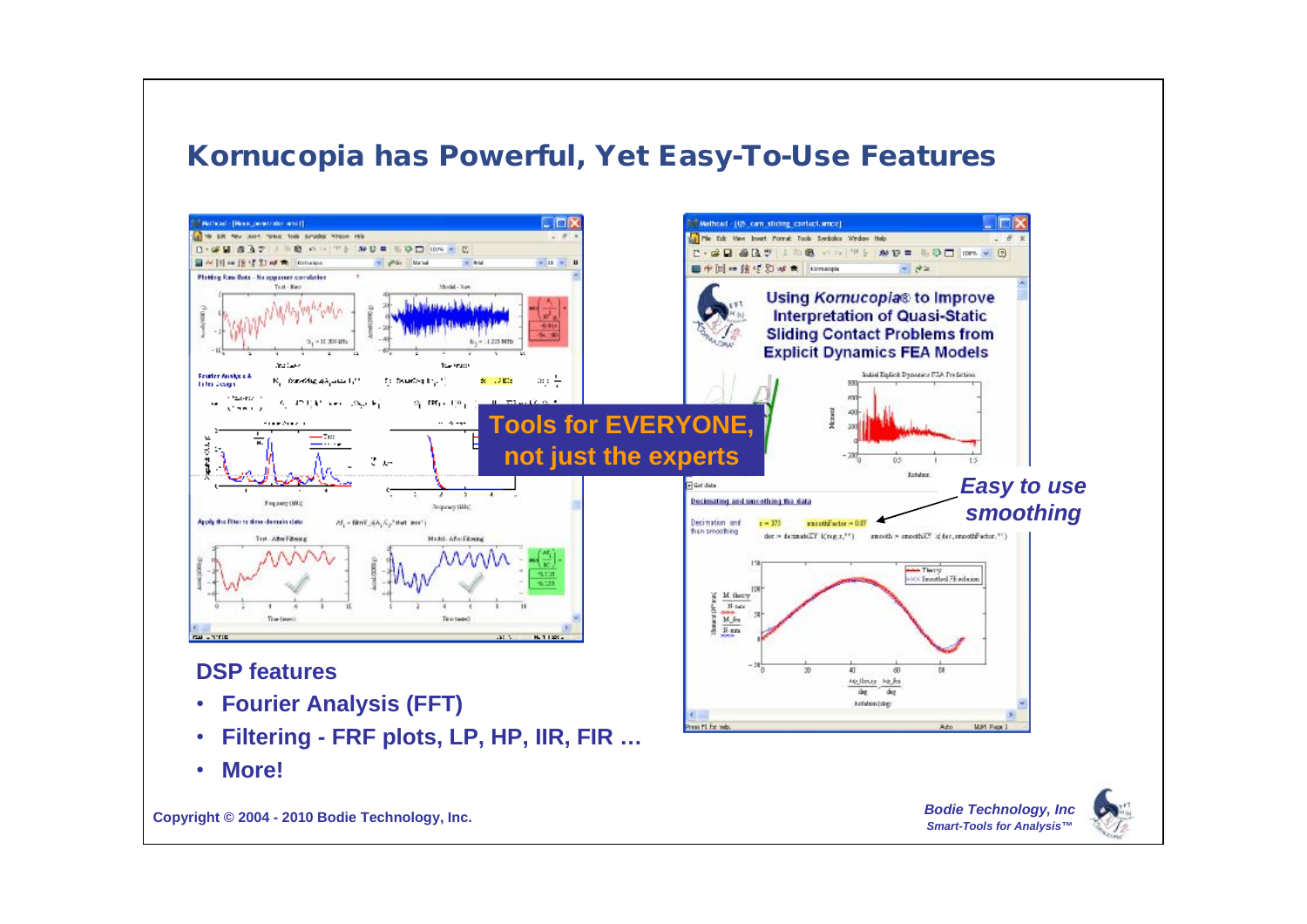#### **Kornucopia has Powerful, Yet Easy-To-Use Features**

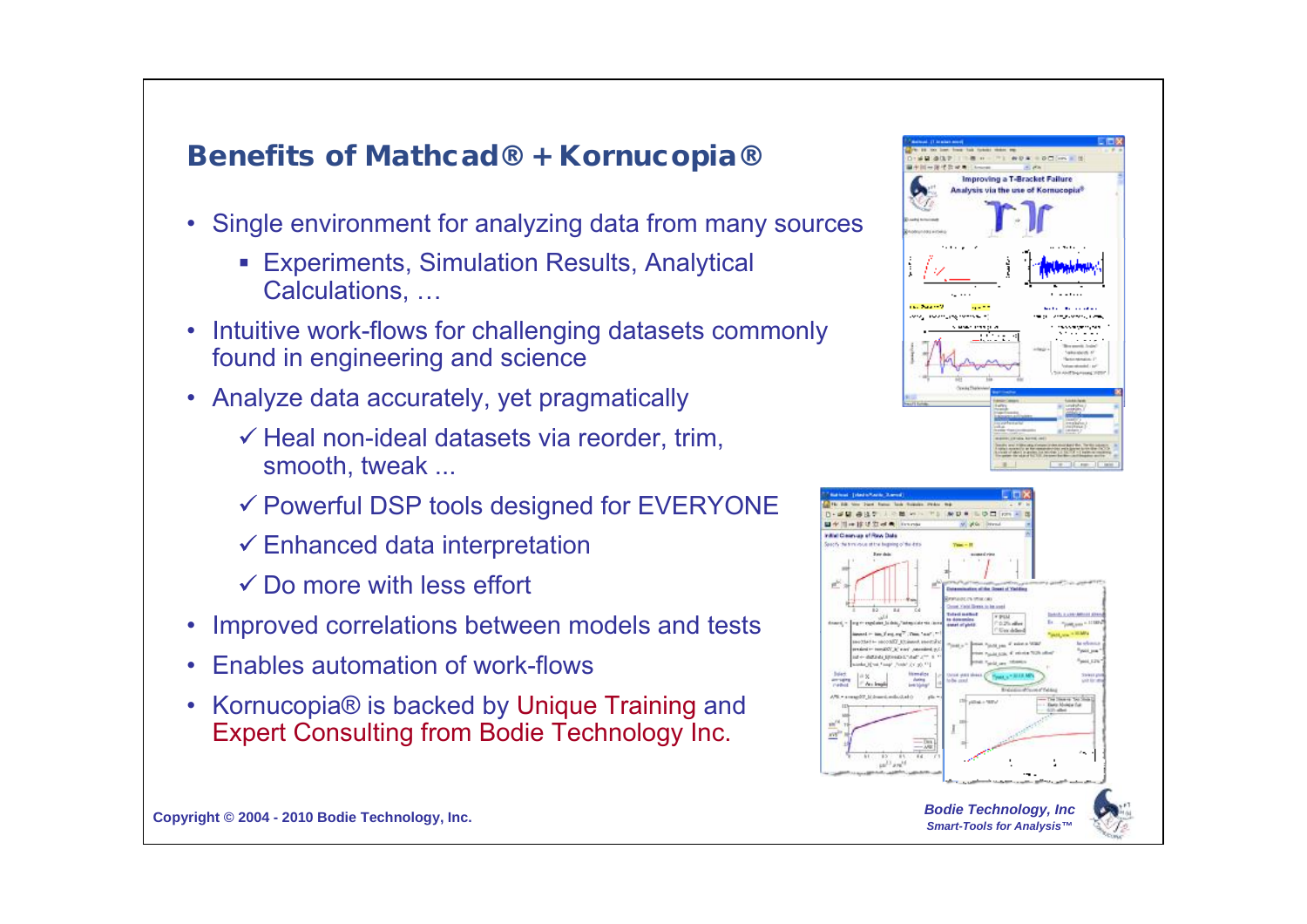

*Smart-Tools for Analysis™*